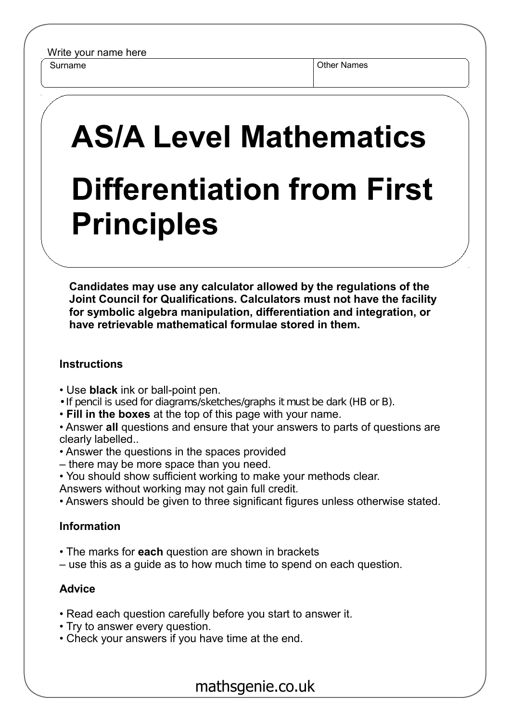Surname **Other Names** Other Names

## **AS/A Level Mathematics Differentiation from First Principles**

**Candidates may use any calculator allowed by the regulations of the Joint Council for Qualifications. Calculators must not have the facility for symbolic algebra manipulation, differentiation and integration, or have retrievable mathematical formulae stored in them.**

## **Instructions**

- Use **black** ink or ball-point pen.
- If pencil is used for diagrams/sketches/graphs it must be dark (HB or B).
- **Fill in the boxes** at the top of this page with your name.

• Answer **all** questions and ensure that your answers to parts of questions are clearly labelled..

- Answer the questions in the spaces provided
- there may be more space than you need.
- You should show sufficient working to make your methods clear.
- Answers without working may not gain full credit.
- Answers should be given to three significant figures unless otherwise stated.

## **Information**

- The marks for **each** question are shown in brackets
- use this as a guide as to how much time to spend on each question.

## **Advice**

- Read each question carefully before you start to answer it.
- Try to answer every question.
- Check your answers if you have time at the end.

mathsgenie.co.uk